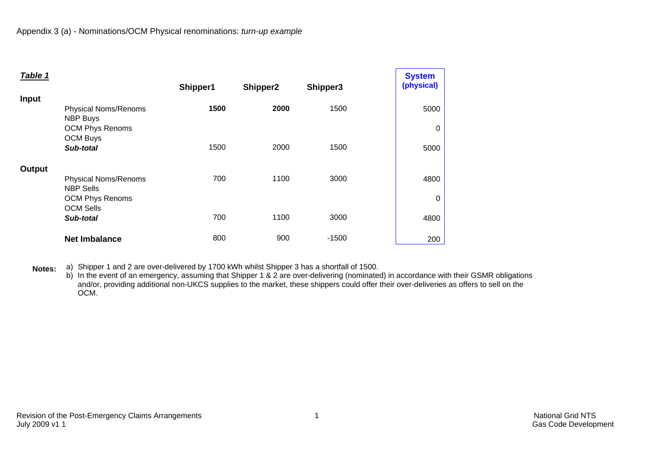| Table 1      |                                                              |          |          |          | <b>System</b> |
|--------------|--------------------------------------------------------------|----------|----------|----------|---------------|
|              |                                                              | Shipper1 | Shipper2 | Shipper3 | (physical)    |
| <b>Input</b> |                                                              |          |          |          |               |
|              | <b>Physical Noms/Renoms</b>                                  | 1500     | 2000     | 1500     | 5000          |
|              | <b>NBP Buys</b><br><b>OCM Phys Renoms</b><br><b>OCM Buys</b> |          |          |          | 0             |
|              | Sub-total                                                    | 1500     | 2000     | 1500     | 5000          |
| Output       |                                                              |          |          |          |               |
|              | <b>Physical Noms/Renoms</b><br><b>NBP Sells</b>              | 700      | 1100     | 3000     | 4800          |
|              | <b>OCM Phys Renoms</b>                                       |          |          |          | 0             |
|              | <b>OCM Sells</b>                                             |          |          |          |               |
|              | Sub-total                                                    | 700      | 1100     | 3000     | 4800          |
|              | <b>Net Imbalance</b>                                         | 800      | 900      | $-1500$  | 200           |

**Notes:** a) Shipper 1 and 2 are over-delivered by 1700 kWh whilst Shipper 3 has a shortfall of 1500.

b) In the event of an emergency, assuming that Shipper 1 & 2 are over-delivering (nominated) in accordance with their GSMR obligations and/or, providing additional non-UKCS supplies to the market, these shippers could offer their over-deliveries as offers to sell on the OCM.